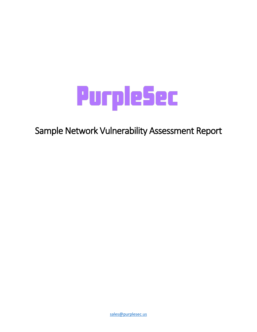

Sample Network Vulnerability Assessment Report

[sales@purplesec.us](mailto:sales@purplesec.us)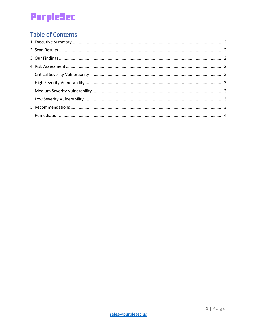## **Table of Contents**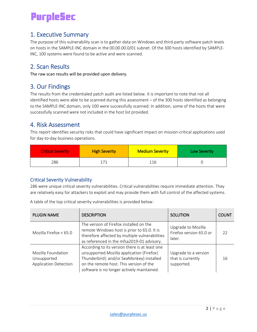## <span id="page-2-0"></span>1. Executive Summary

The purpose of this vulnerability scan is to gather data on Windows and third-party software patch levels on hosts in the SAMPLE-INC domain in the 00.00.00.0/01 subnet. Of the 300 hosts identified by SAMPLE-INC, 100 systems were found to be active and were scanned.

## <span id="page-2-1"></span>2. Scan Results

The raw scan results will be provided upon delivery.

## <span id="page-2-2"></span>3. Our Findings

The results from the credentialed patch audit are listed below. It is important to note that not all identified hosts were able to be scanned during this assessment – of the 300 hosts identified as belonging to the SAMPLE-INC domain, only 100 were successfully scanned. In addition, some of the hosts that were successfully scanned were not included in the host list provided.

### <span id="page-2-3"></span>4. Risk Assessment

This report identifies security risks that could have significant impact on mission-critical applications used for day-to-day business operations.

| <b>Critical Severity</b> | <b>High Severity</b> | <b>Medium Severity</b> | <b>Low Severity</b> |
|--------------------------|----------------------|------------------------|---------------------|
| 286                      | 171                  | 116                    |                     |

### <span id="page-2-4"></span>Critical Severity Vulnerability

286 were unique critical severity vulnerabilities. Critical vulnerabilities require immediate attention. They are relatively easy for attackers to exploit and may provide them with full control of the affected systems.

A table of the top critical severity vulnerabilities is provided below:

| <b>PLUGIN NAME</b>                                                | <b>DESCRIPTION</b>                                                                                                                                                                                                                | <b>SOLUTION</b>                                         | <b>COUNT</b> |
|-------------------------------------------------------------------|-----------------------------------------------------------------------------------------------------------------------------------------------------------------------------------------------------------------------------------|---------------------------------------------------------|--------------|
| Mozilla Firefox $< 65.0$                                          | The version of Firefox installed on the<br>remote Windows host is prior to 65.0. It is<br>therefore affected by multiple vulnerabilities<br>as referenced in the mfsa2019-01 advisory.                                            | Upgrade to Mozilla<br>Firefox version 65.0 or<br>later. | 22           |
| Mozilla Foundation<br>Unsupported<br><b>Application Detection</b> | According to its version there is at least one<br>unsupported Mozilla application (Firefox)<br>Thunderbird   and/or SeaMonkey) installed<br>on the remote host. This version of the<br>software is no longer actively maintained. | Upgrade to a version<br>that is currently<br>supported. | 16           |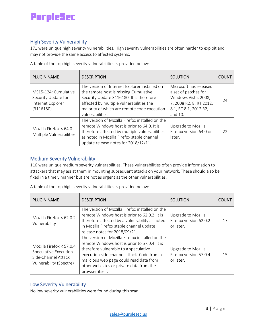### <span id="page-3-0"></span>High Severity Vulnerability

171 were unique high severity vulnerabilities. High severity vulnerabilities are often harder to exploit and may not provide the same access to affected systems.

A table of the top high severity vulnerabilities is provided below:

| <b>PLUGIN NAME</b>                                                            | <b>DESCRIPTION</b>                                                                                                                                                                                                                                | <b>SOLUTION</b>                                                                                                                       | <b>COUNT</b> |
|-------------------------------------------------------------------------------|---------------------------------------------------------------------------------------------------------------------------------------------------------------------------------------------------------------------------------------------------|---------------------------------------------------------------------------------------------------------------------------------------|--------------|
| MS15-124: Cumulative<br>Security Update for<br>Internet Explorer<br>(3116180) | The version of Internet Explorer installed on<br>the remote host is missing Cumulative<br>Security Update 3116180. It is therefore<br>affected by multiple vulnerabilities the<br>majority of which are remote code execution<br>vulnerabilities. | Microsoft has released<br>a set of patches for<br>Windows Vista, 2008,<br>7, 2008 R2, 8, RT 2012,<br>8.1, RT 8.1, 2012 R2,<br>and 10. | 24           |
| Mozilla Firefox $< 64.0$<br>Multiple Vulnerabilities                          | The version of Mozilla Firefox installed on the<br>remote Windows host is prior to 64.0. It is<br>therefore affected by multiple vulnerabilities<br>as noted in Mozilla Firefox stable channel<br>update release notes for 2018/12/11.            | Upgrade to Mozilla<br>Firefox version 64.0 or<br>later.                                                                               | 22           |

### <span id="page-3-1"></span>Medium Severity Vulnerability

116 were unique medium severity vulnerabilities. These vulnerabilities often provide information to attackers that may assist them in mounting subsequent attacks on your network. These should also be fixed in a timely manner but are not as urgent as the other vulnerabilities.

| <b>PLUGIN NAME</b>                                                                                    | <b>DESCRIPTION</b>                                                                                                                                                                                                                                                                                | <b>SOLUTION</b>                                           | <b>COUNT</b> |
|-------------------------------------------------------------------------------------------------------|---------------------------------------------------------------------------------------------------------------------------------------------------------------------------------------------------------------------------------------------------------------------------------------------------|-----------------------------------------------------------|--------------|
| Mozilla Firefox $< 62.0.2$<br>Vulnerability                                                           | The version of Mozilla Firefox installed on the<br>remote Windows host is prior to 62.0.2. It is<br>therefore affected by a vulnerability as noted<br>in Mozilla Firefox stable channel update<br>release notes for 2018/09/21.                                                                   | Upgrade to Mozilla<br>Firefox version 62.0.2<br>or later. | 17           |
| Mozilla Firefox $< 57.0.4$<br>Speculative Execution<br>Side-Channel Attack<br>Vulnerability (Spectre) | The version of Mozilla Firefox installed on the<br>remote Windows host is prior to 57.0.4. It is<br>therefore vulnerable to a speculative<br>execution side-channel attack. Code from a<br>malicious web page could read data from<br>other web sites or private data from the<br>browser itself. | Upgrade to Mozilla<br>Firefox version 57.0.4<br>or later. | 15           |

A table of the top high severity vulnerabilities is provided below:

### <span id="page-3-2"></span>Low Severity Vulnerability

<span id="page-3-3"></span>No low severity vulnerabilities were found during this scan.